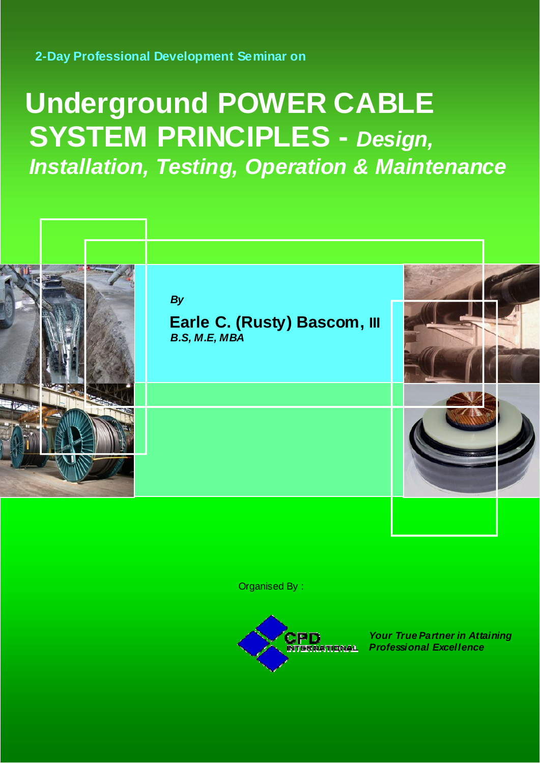## **2-Day Professional Development Seminar on**

# **Underground POWER CABLE SYSTEM PRINCIPLES -** *Design, Installation, Testing, Operation & Maintenance*



Organised By :



*Your True Partner in Attaining Professional Excellence*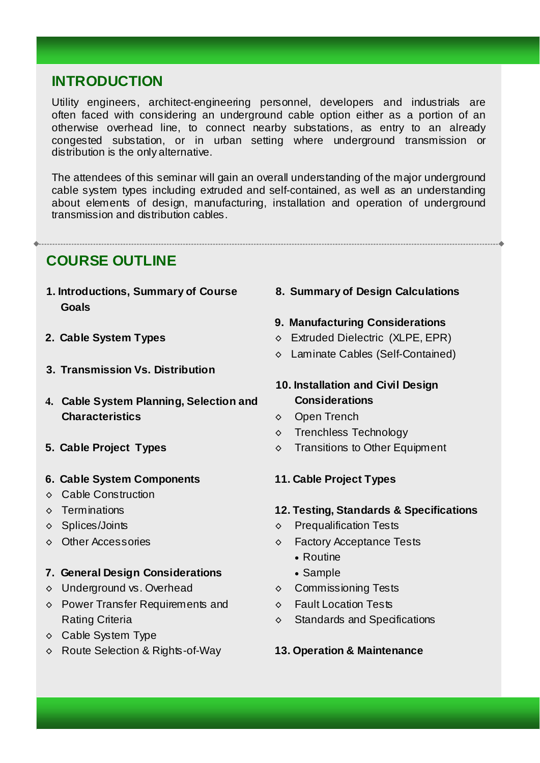# **INTRODUCTION**

Utility engineers, architect-engineering personnel, developers and industrials are often faced with considering an underground cable option either as a portion of an otherwise overhead line, to connect nearby substations, as entry to an already congested substation, or in urban setting where underground transmission or distribution is the only alternative.

The attendees of this seminar will gain an overall understanding of the major underground cable system types including extruded and self-contained, as well as an understanding about elements of design, manufacturing, installation and operation of underground transmission and distribution cables.

# **COURSE OUTLINE**

- **1. Introductions, Summary of Course Goals**
- **2. Cable System Types**
- **3. Transmission Vs. Distribution**
- **4. Cable System Planning, Selection and Characteristics**
- **5. Cable Project Types**
- **6. Cable System Components**
- ◊ Cable Construction
- ◊ Terminations
- ◊ Splices/Joints
- ◊ Other Accessories
- **7. General Design Considerations**
- ◊ Underground vs. Overhead
- ◊ Power Transfer Requirements and Rating Criteria
- ◊ Cable System Type
- ◊ Route Selection & Rights-of-Way

## **8. Summary of Design Calculations**

## **9. Manufacturing Considerations**

- ◊ Extruded Dielectric (XLPE, EPR)
- ◊ Laminate Cables (Self-Contained)

## **10. Installation and Civil Design Considerations**

- ◊ Open Trench
- ◊ Trenchless Technology
- ◊ Transitions to Other Equipment
- **11. Cable Project Types**
- **12. Testing, Standards & Specifications**
- ◊ Prequalification Tests
- ◊ Factory Acceptance Tests
	- Routine
	- Sample
- ◊ Commissioning Tests
- ◊ Fault Location Tests
- ◊ Standards and Specifications

## **13. Operation & Maintenance**